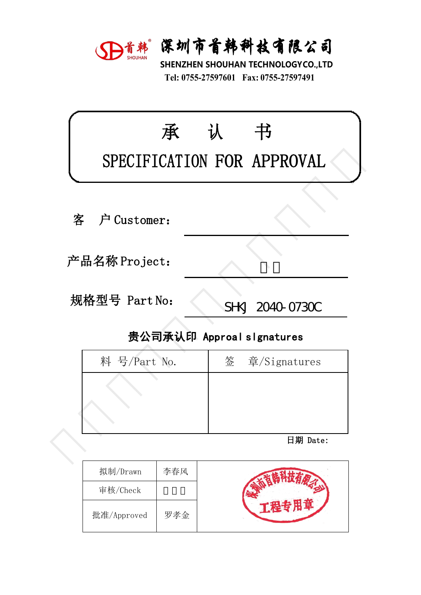

深圳市首韩科技有限公司<br>SHENZHEN SHOUHAN TECHNOLOGYCO.,LTD<br>Tel: 0755-27597601 Fax: 0755-27597491 **宋圳市首韩科技有限公司**<br>HENZHEN SHOUHAN TECHNOLOGYCO.,LTD<br>Tel: 0755-27597601 Fax: 0755-27597491

|               | D首韩 深圳市首韩科技有限公司<br>SHENZHEN SHOUHAN TECHNOLOGYCO.,LTD<br>Tel: 0755-27597601 Fax: 0755-27597491 |
|---------------|------------------------------------------------------------------------------------------------|
| 承             | 认<br>书<br>SPECIFICATION FOR APPROVAL                                                           |
| 户 Customer:   |                                                                                                |
| 产品名称 Project: |                                                                                                |
| 规格型号 Part No: | SHKJ 2040-0730C                                                                                |
|               | 贵公司承认印 Approal slgnatures                                                                      |
| 料 号/Part No.  | 签<br>章/Signatures                                                                              |
|               |                                                                                                |
|               | 日期 Date:                                                                                       |
|               |                                                                                                |

| ‼硲型号 Part No: | SHKJ 2040-0730C           |
|---------------|---------------------------|
|               | 贵公司承认印 Approal slgnatures |
| 料 号/Part No.  | 签 章/Signatures            |
|               |                           |
|               |                           |
|               |                           |
|               | 日期 Date:                  |
|               |                           |

| 拟制/Drawn    | 李春风 |  |
|-------------|-----|--|
| 审核/Check    |     |  |
| 批准/Approved | 罗孝金 |  |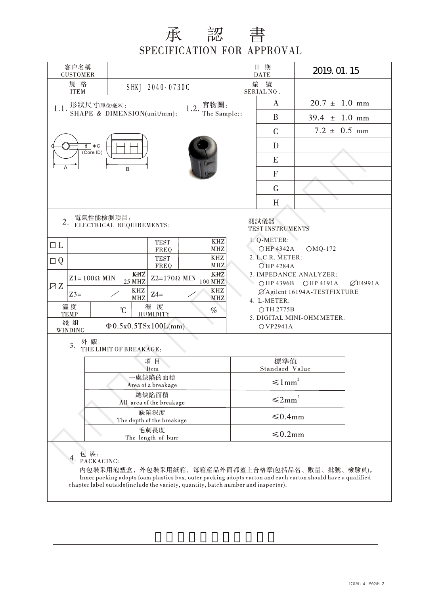## 承認書 SPECIFICATION FOR APPROVAL

| 客户名稱<br><b>CUSTOMER</b>                                                                                                                                                                                                                                                                                                                                                                                                                                                                                                                                                                                                                                                                                                                                                 |                                   |  |                           |                      | 2019. 01. 15              |  |  |
|-------------------------------------------------------------------------------------------------------------------------------------------------------------------------------------------------------------------------------------------------------------------------------------------------------------------------------------------------------------------------------------------------------------------------------------------------------------------------------------------------------------------------------------------------------------------------------------------------------------------------------------------------------------------------------------------------------------------------------------------------------------------------|-----------------------------------|--|---------------------------|----------------------|---------------------------|--|--|
| 規 格<br><b>ITEM</b>                                                                                                                                                                                                                                                                                                                                                                                                                                                                                                                                                                                                                                                                                                                                                      | SHKJ 2040-0730C                   |  |                           | 编<br>號<br>SERIAL NO. |                           |  |  |
| 1.1. 形狀尺寸(單位/毫米):<br>1.2. 實物圖:                                                                                                                                                                                                                                                                                                                                                                                                                                                                                                                                                                                                                                                                                                                                          |                                   |  |                           | $\bf{A}$             | $20.7 \pm 1.0 \text{ mm}$ |  |  |
| SHAPE & DIMENSION(unit/mm):<br>The Sample::                                                                                                                                                                                                                                                                                                                                                                                                                                                                                                                                                                                                                                                                                                                             |                                   |  |                           | $\bf{B}$             | $39.4 \pm 1.0 \text{ mm}$ |  |  |
|                                                                                                                                                                                                                                                                                                                                                                                                                                                                                                                                                                                                                                                                                                                                                                         |                                   |  |                           | $\mathcal{C}$        | $7.2 \pm 0.5$ mm          |  |  |
| $\frac{1}{\sqrt{2}}$ $\Phi$ C<br>$\overline{(CoreID)}$                                                                                                                                                                                                                                                                                                                                                                                                                                                                                                                                                                                                                                                                                                                  |                                   |  |                           | D                    |                           |  |  |
|                                                                                                                                                                                                                                                                                                                                                                                                                                                                                                                                                                                                                                                                                                                                                                         |                                   |  |                           | E                    |                           |  |  |
| Α                                                                                                                                                                                                                                                                                                                                                                                                                                                                                                                                                                                                                                                                                                                                                                       | B                                 |  |                           | $\mathbf F$          |                           |  |  |
|                                                                                                                                                                                                                                                                                                                                                                                                                                                                                                                                                                                                                                                                                                                                                                         |                                   |  |                           | G                    |                           |  |  |
|                                                                                                                                                                                                                                                                                                                                                                                                                                                                                                                                                                                                                                                                                                                                                                         |                                   |  |                           | H                    |                           |  |  |
| 電氣性能檢測項目:<br>2.<br>測試儀器<br>ELECTRICAL REQUIREMENTS:<br><b>TEST INSTRUMENTS</b><br>1. Q-METER:<br><b>KHZ</b><br><b>TEST</b><br>$\Box$ L<br>OHP 4342A<br>$OMQ-172$<br>MHZ<br>FREQ<br>2. L.C.R. METER:<br>$\mathbf{K}\mathbf{H}\mathbf{Z}$<br><b>TEST</b><br>$\Box Q$<br>FREQ<br>MHZ<br><b>OHP 4284A</b><br>KHZ<br>KHZ<br>3. IMPEDANCE ANALYZER:<br>$Z2=170\Omega$ MIN<br>$Z1 = 100 \Omega$ MIN<br>100 MHZ<br>25 MHZ<br>$\varnothing$ E4991A<br>○HP 4396B<br><b>OHP 4191A</b><br>ZZ<br><b>KHZ</b><br>KHZ<br>ØAgilent 16194A-TESTFIXTURE<br>$Z4=$<br>$Z3=$<br>$\rm{MHz}$<br>MHZ<br>4. L-METER:<br>温度<br>濕度<br>C<br>OTH 2775B<br>$\%$<br><b>HUMIDITY</b><br><b>TEMP</b><br>5. DIGITAL MINI-OHM METER:<br>綫組<br>$\Phi$ 0.5x0.5TSx100L(mm)<br>OVP2941A<br>WINDING<br>外觀:<br>3. |                                   |  |                           |                      |                           |  |  |
|                                                                                                                                                                                                                                                                                                                                                                                                                                                                                                                                                                                                                                                                                                                                                                         | THE LIMIT OF BREAKAGE:<br>項目      |  | 標準值                       |                      |                           |  |  |
|                                                                                                                                                                                                                                                                                                                                                                                                                                                                                                                                                                                                                                                                                                                                                                         | Item<br>處缺陷的面積                    |  | Standard Value            |                      |                           |  |  |
|                                                                                                                                                                                                                                                                                                                                                                                                                                                                                                                                                                                                                                                                                                                                                                         | Area of a breakage<br>總缺陷面積       |  | $\leq 1 \, \mathrm{mm}^2$ |                      |                           |  |  |
|                                                                                                                                                                                                                                                                                                                                                                                                                                                                                                                                                                                                                                                                                                                                                                         | All area of the breakage          |  | $\leq 2mm^2$              |                      |                           |  |  |
|                                                                                                                                                                                                                                                                                                                                                                                                                                                                                                                                                                                                                                                                                                                                                                         | 缺陷深度<br>The depth of the breakage |  | $\leq 0.4$ mm             |                      |                           |  |  |
|                                                                                                                                                                                                                                                                                                                                                                                                                                                                                                                                                                                                                                                                                                                                                                         | 毛刺長度<br>The length of burr        |  | ≤0.2mm                    |                      |                           |  |  |
| 包 裝:<br>4.<br>PACKAGING:                                                                                                                                                                                                                                                                                                                                                                                                                                                                                                                                                                                                                                                                                                                                                |                                   |  |                           |                      |                           |  |  |

内包裝采用泡塑盒, 外包裝采用紙箱, 每箱産品外面都蓋上合格章(包括品名、數量、批號、檢驗員)。 Inner packing adopts foam plastics box, outer packing adopts carton and each carton should have a qualified chapter label outside(include the variety, quantity, batch number and inspector).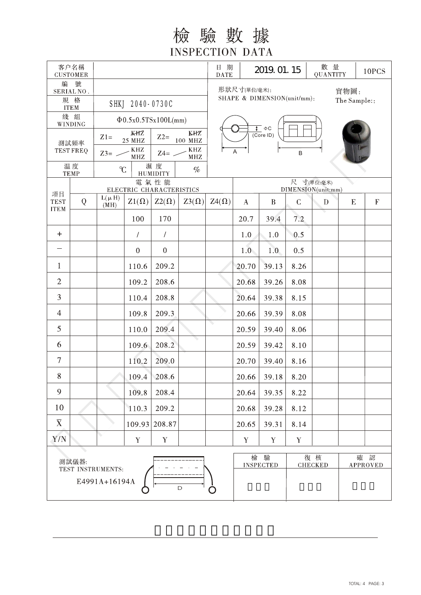檢驗數據 **INSPECTION DATA** 

|                                                               | 客户名稱<br><b>CUSTOMER</b>        |                                                                                         |                                                     |                       |                                                                                           | 日期<br><b>DATE</b>                                            |          | 2019. 01. 15       |              | 數 量<br>QUANTITY |           | 10PCS                     |
|---------------------------------------------------------------|--------------------------------|-----------------------------------------------------------------------------------------|-----------------------------------------------------|-----------------------|-------------------------------------------------------------------------------------------|--------------------------------------------------------------|----------|--------------------|--------------|-----------------|-----------|---------------------------|
| 號<br>編<br>SERIAL NO.<br>規 格<br>SHKJ 2040-0730C<br><b>ITEM</b> |                                | 形狀尺寸(單位/毫米):<br>實物圖:<br>SHAPE & DIMENSION(unit/mm):<br>The Sample::                     |                                                     |                       |                                                                                           |                                                              |          |                    |              |                 |           |                           |
|                                                               | 綫組<br>WINDING                  | $\Phi$ 0.5x0.5TSx100L(mm)                                                               |                                                     |                       |                                                                                           |                                                              |          |                    |              |                 |           |                           |
|                                                               | 測試頻率<br><b>TEST FREQ</b><br>温度 | $Z1=$<br>$Z3=$ $-$<br>C                                                                 | KHZ<br><b>25 MHZ</b><br>KHZ<br>$\operatorname{MHz}$ | $Z2=$<br>$Z4=$<br>濕度  | KHZ<br>100 MHZ<br>$\mathbf{K}\mathbf{H}\mathbf{Z}$<br>$\ensuremath{\mathbf{MHz}}$<br>$\%$ | $\overline{\uparrow}$ $\Phi$ C<br>$\overline{(CoreID)}$<br>B |          |                    |              |                 |           |                           |
|                                                               | <b>TEMP</b>                    | <b>HUMIDITY</b><br>電氣性能<br>尺 寸(單位:毫米)<br>DIMENSION(unit:mm)<br>ELECTRIC CHARACTERISTICS |                                                     |                       |                                                                                           |                                                              |          |                    |              |                 |           |                           |
| 項目<br><b>TEST</b>                                             | Q                              | $L(\mu H)$<br>(MH)                                                                      | $Z1(\Omega)$                                        | $Z2(\Omega)$          | $Z3(\Omega)$                                                                              | $Z4(\Omega)$                                                 | $\bf{A}$ | $\bf{B}$           | $\mathsf{C}$ | $\mathbf{D}$    | ${\bf E}$ | $\boldsymbol{\mathrm{F}}$ |
| <b>ITEM</b>                                                   |                                |                                                                                         | 100                                                 | 170                   |                                                                                           |                                                              | 20.7     | 39.4               | 7.2          |                 |           |                           |
| $\ddot{}$                                                     |                                |                                                                                         | $\sqrt{2}$                                          | $\prime$              |                                                                                           |                                                              | 1.0      | 1.0                | 0.5          |                 |           |                           |
|                                                               |                                |                                                                                         | $\mathbf{0}$                                        | $\boldsymbol{0}$      |                                                                                           |                                                              | 1.0      | 1.0                | 0.5          |                 |           |                           |
| $\mathbf{1}$                                                  |                                |                                                                                         | 110.6                                               | 209.2                 |                                                                                           |                                                              | 20.70    | 39.13              | 8.26         |                 |           |                           |
| $\overline{2}$                                                |                                |                                                                                         | 109.2                                               | 208.6                 |                                                                                           |                                                              | 20.68    | 39.26              | 8.08         |                 |           |                           |
| 3                                                             |                                |                                                                                         | 110.4                                               | 208.8                 |                                                                                           |                                                              | 20.64    | 39.38              | 8.15         |                 |           |                           |
| $\overline{4}$                                                |                                |                                                                                         | 109.8                                               | 209.3                 |                                                                                           |                                                              | 20.66    | 39.39              | 8.08         |                 |           |                           |
| 5                                                             |                                |                                                                                         | 110.0                                               | 209.4                 |                                                                                           |                                                              | 20.59    | 39.40              | 8.06         |                 |           |                           |
| 6                                                             |                                |                                                                                         | 109.6                                               | 208.2                 |                                                                                           |                                                              | 20.59    | 39.42              | 8.10         |                 |           |                           |
| $\tau$                                                        |                                |                                                                                         | 110.2                                               | 209.0                 |                                                                                           |                                                              | 20.70    | 39.40              | 8.16         |                 |           |                           |
| 8                                                             |                                |                                                                                         | 109.4                                               | 208.6                 |                                                                                           |                                                              | 20.66    | 39.18              | 8.20         |                 |           |                           |
| 9                                                             |                                |                                                                                         | 109.8                                               | 208.4                 |                                                                                           |                                                              | 20.64    | 39.35              | 8.22         |                 |           |                           |
| 10                                                            |                                |                                                                                         | 110.3                                               | 209.2                 |                                                                                           |                                                              | 20.68    | 39.28              | 8.12         |                 |           |                           |
| $\overline{\mathbf{X}}$                                       |                                |                                                                                         | 109.93                                              | 208.87                |                                                                                           |                                                              | 20.65    | 39.31              | 8.14         |                 |           |                           |
| ${\rm Y/N}$                                                   |                                |                                                                                         | $\mathbf Y$                                         | $\mathbf Y$           |                                                                                           |                                                              | Y        | $\mathbf Y$        | $\mathbf Y$  |                 |           |                           |
| 測試儀器:<br>TEST INSTRUMENTS:<br>E4991A+16194A<br>$\mathsf D$    |                                | O                                                                                       | 檢                                                   | 驗<br><b>INSPECTED</b> |                                                                                           | 復核<br><b>CHECKED</b>                                         |          | 認<br>確<br>APPROVED |              |                 |           |                           |